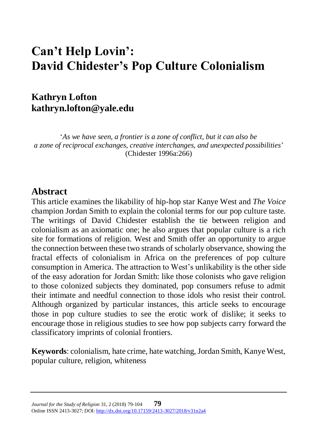# **Can't Help Lovin': David Chidester's Pop Culture Colonialism**

# **Kathryn Lofton [kathryn.lofton@yale.edu](mailto:kathryn.lofton@yale.edu)**

'*As we have seen, a frontier is a zone of conflict, but it can also be a zone of reciprocal exchanges, creative interchanges, and unexpected possibilities*' (Chidester 1996a:266)

### **Abstract**

This article examines the likability of hip-hop star Kanye West and *The Voice* champion Jordan Smith to explain the colonial terms for our pop culture taste. The writings of David Chidester establish the tie between religion and colonialism as an axiomatic one; he also argues that popular culture is a rich site for formations of religion. West and Smith offer an opportunity to argue the connection between these two strands of scholarly observance, showing the fractal effects of colonialism in Africa on the preferences of pop culture consumption in America. The attraction to West's unlikability is the other side of the easy adoration for Jordan Smith: like those colonists who gave religion to those colonized subjects they dominated, pop consumers refuse to admit their intimate and needful connection to those idols who resist their control. Although organized by particular instances, this article seeks to encourage those in pop culture studies to see the erotic work of dislike; it seeks to encourage those in religious studies to see how pop subjects carry forward the classificatory imprints of colonial frontiers.

**Keywords**: colonialism, hate crime, hate watching, Jordan Smith, Kanye West, popular culture, religion, whiteness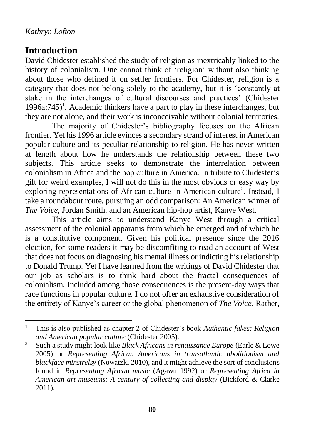### **Introduction**

-

David Chidester established the study of religion as inextricably linked to the history of colonialism. One cannot think of 'religion' without also thinking about those who defined it on settler frontiers. For Chidester, religion is a category that does not belong solely to the academy, but it is 'constantly at stake in the interchanges of cultural discourses and practices' (Chidester  $1996a:745$ <sup>1</sup>. Academic thinkers have a part to play in these interchanges, but they are not alone, and their work is inconceivable without colonial territories.

The majority of Chidester's bibliography focuses on the African frontier. Yet his 1996 article evinces a secondary strand of interest in American popular culture and its peculiar relationship to religion. He has never written at length about how he understands the relationship between these two subjects. This article seeks to demonstrate the interrelation between colonialism in Africa and the pop culture in America. In tribute to Chidester's gift for weird examples, I will not do this in the most obvious or easy way by exploring representations of African culture in American culture<sup>2</sup>. Instead, I take a roundabout route, pursuing an odd comparison: An American winner of *The Voice*, Jordan Smith, and an American hip-hop artist, Kanye West.

This article aims to understand Kanye West through a critical assessment of the colonial apparatus from which he emerged and of which he is a constitutive component. Given his political presence since the 2016 election, for some readers it may be discomfiting to read an account of West that does not focus on diagnosing his mental illness or indicting his relationship to Donald Trump. Yet I have learned from the writings of David Chidester that our job as scholars is to think hard about the fractal consequences of colonialism. Included among those consequences is the present-day ways that race functions in popular culture. I do not offer an exhaustive consideration of the entirety of Kanye's career or the global phenomenon of *The Voice.* Rather,

<sup>1</sup> This is also published as chapter 2 of Chidester's book *Authentic fakes: Religion and American popular culture* (Chidester 2005).

<sup>2</sup> Such a study might look like *Black Africans in renaissance Europe* (Earle & Lowe 2005) or *Representing African Americans in transatlantic abolitionism and blackface minstrelsy* (Nowatzki 2010), and it might achieve the sort of conclusions found in *Representing African music* (Agawu 1992) or *Representing Africa in American art museums: A century of collecting and display* (Bickford & Clarke 2011).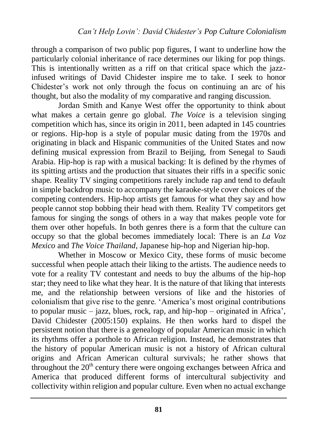through a comparison of two public pop figures, I want to underline how the particularly colonial inheritance of race determines our liking for pop things. This is intentionally written as a riff on that critical space which the jazzinfused writings of David Chidester inspire me to take. I seek to honor Chidester's work not only through the focus on continuing an arc of his thought, but also the modality of my comparative and ranging discussion.

Jordan Smith and Kanye West offer the opportunity to think about what makes a certain genre go global. *The Voice* is a television singing competition which has, since its origin in 2011, been adapted in 145 countries or regions. Hip-hop is a style of popular music dating from the 1970s and originating in black and Hispanic communities of the United States and now defining musical expression from Brazil to Beijing, from Senegal to Saudi Arabia. Hip-hop is rap with a musical backing: It is defined by the rhymes of its spitting artists and the production that situates their riffs in a specific sonic shape. Reality TV singing competitions rarely include rap and tend to default in simple backdrop music to accompany the karaoke-style cover choices of the competing contenders. Hip-hop artists get famous for what they say and how people cannot stop bobbing their head with them. Reality TV competitors get famous for singing the songs of others in a way that makes people vote for them over other hopefuls. In both genres there is a form that the culture can occupy so that the global becomes immediately local: There is an *La Voz Mexico* and *The Voice Thailand*, Japanese hip-hop and Nigerian hip-hop.

Whether in Moscow or Mexico City, these forms of music become successful when people attach their liking to the artists. The audience needs to vote for a reality  $T\overline{V}$  contestant and needs to buy the albums of the hip-hop star; they need to like what they hear. It is the nature of that liking that interests me, and the relationship between versions of like and the histories of colonialism that give rise to the genre. 'America's most original contributions to popular music – jazz, blues, rock, rap, and hip-hop – originated in Africa', David Chidester (2005:150) explains. He then works hard to dispel the persistent notion that there is a genealogy of popular American music in which its rhythms offer a porthole to African religion. Instead, he demonstrates that the history of popular American music is not a history of African cultural origins and African American cultural survivals; he rather shows that throughout the  $20<sup>th</sup>$  century there were ongoing exchanges between Africa and America that produced different forms of intercultural subjectivity and collectivity within religion and popular culture. Even when no actual exchange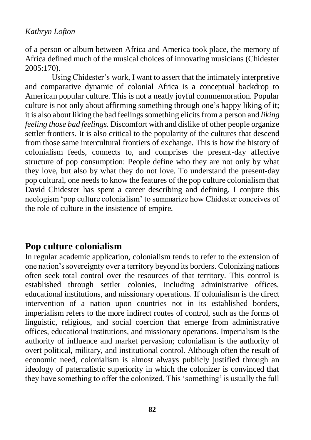of a person or album between Africa and America took place, the memory of Africa defined much of the musical choices of innovating musicians (Chidester 2005:170).

Using Chidester's work, I want to assert that the intimately interpretive and comparative dynamic of colonial Africa is a conceptual backdrop to American popular culture. This is not a neatly joyful commemoration. Popular culture is not only about affirming something through one's happy liking of it; it is also about liking the bad feelings something elicits from a person and *liking feeling those bad feelings*. Discomfort with and dislike of other people organize settler frontiers. It is also critical to the popularity of the cultures that descend from those same intercultural frontiers of exchange. This is how the history of colonialism feeds, connects to, and comprises the present-day affective structure of pop consumption: People define who they are not only by what they love, but also by what they do not love. To understand the present-day pop cultural, one needs to know the features of the pop culture colonialism that David Chidester has spent a career describing and defining. I conjure this neologism 'pop culture colonialism' to summarize how Chidester conceives of the role of culture in the insistence of empire.

## **Pop culture colonialism**

In regular academic application, colonialism tends to refer to the extension of one nation's sovereignty over a territory beyond its borders. Colonizing nations often seek total control over the resources of that territory. This control is established through settler colonies, including administrative offices, educational institutions, and missionary operations. If colonialism is the direct intervention of a nation upon countries not in its established borders, imperialism refers to the more indirect routes of control, such as the forms of linguistic, religious, and social coercion that emerge from administrative offices, educational institutions, and missionary operations. Imperialism is the authority of influence and market pervasion; colonialism is the authority of overt political, military, and institutional control. Although often the result of economic need, colonialism is almost always publicly justified through an ideology of paternalistic superiority in which the colonizer is convinced that they have something to offer the colonized. This 'something' is usually the full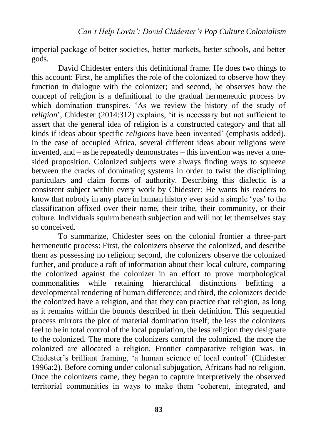imperial package of better societies, better markets, better schools, and better gods.

David Chidester enters this definitional frame. He does two things to this account: First, he amplifies the role of the colonized to observe how they function in dialogue with the colonizer; and second, he observes how the concept of religion is a definitional to the gradual hermeneutic process by which domination transpires. 'As we review the history of the study of *religion*', Chidester (2014:312) explains, 'it is necessary but not sufficient to assert that the general idea of religion is a constructed category and that all kinds if ideas about specific *religions* have been invented' (emphasis added). In the case of occupied Africa, several different ideas about religions were invented, and – as he repeatedly demonstrates – this invention was never a onesided proposition. Colonized subjects were always finding ways to squeeze between the cracks of dominating systems in order to twist the disciplining particulars and claim forms of authority. Describing this dialectic is a consistent subject within every work by Chidester: He wants his readers to know that nobody in any place in human history ever said a simple 'yes' to the classification affixed over their name, their tribe, their community, or their culture. Individuals squirm beneath subjection and will not let themselves stay so conceived.

To summarize, Chidester sees on the colonial frontier a three-part hermeneutic process: First, the colonizers observe the colonized, and describe them as possessing no religion; second, the colonizers observe the colonized further, and produce a raft of information about their local culture, comparing the colonized against the colonizer in an effort to prove morphological commonalities while retaining hierarchical distinctions befitting a developmental rendering of human difference; and third, the colonizers decide the colonized have a religion, and that they can practice that religion, as long as it remains within the bounds described in their definition. This sequential process mirrors the plot of material domination itself; the less the colonizers feel to be in total control of the local population, the less religion they designate to the colonized. The more the colonizers control the colonized, the more the colonized are allocated a religion. Frontier comparative religion was, in Chidester's brilliant framing, 'a human science of local control' (Chidester 1996a:2). Before coming under colonial subjugation, Africans had no religion. Once the colonizers came, they began to capture interpretively the observed territorial communities in ways to make them 'coherent, integrated, and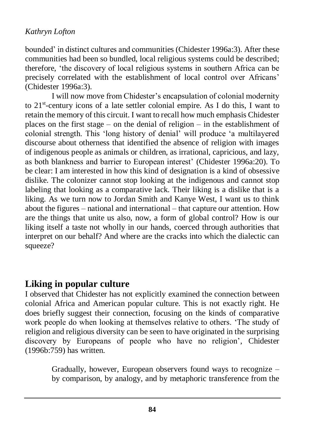bounded' in distinct cultures and communities (Chidester 1996a:3). After these communities had been so bundled, local religious systems could be described; therefore, 'the discovery of local religious systems in southern Africa can be precisely correlated with the establishment of local control over Africans' (Chidester 1996a:3).

I will now move from Chidester's encapsulation of colonial modernity to  $21<sup>st</sup>$ -century icons of a late settler colonial empire. As I do this, I want to retain the memory of this circuit. I want to recall how much emphasis Chidester places on the first stage – on the denial of religion – in the establishment of colonial strength. This 'long history of denial' will produce 'a multilayered discourse about otherness that identified the absence of religion with images of indigenous people as animals or children, as irrational, capricious, and lazy, as both blankness and barrier to European interest' (Chidester 1996a:20). To be clear: I am interested in how this kind of designation is a kind of obsessive dislike. The colonizer cannot stop looking at the indigenous and cannot stop labeling that looking as a comparative lack. Their liking is a dislike that is a liking. As we turn now to Jordan Smith and Kanye West, I want us to think about the figures – national and international – that capture our attention. How are the things that unite us also, now, a form of global control? How is our liking itself a taste not wholly in our hands, coerced through authorities that interpret on our behalf? And where are the cracks into which the dialectic can squeeze?

# **Liking in popular culture**

I observed that Chidester has not explicitly examined the connection between colonial Africa and American popular culture. This is not exactly right. He does briefly suggest their connection, focusing on the kinds of comparative work people do when looking at themselves relative to others. 'The study of religion and religious diversity can be seen to have originated in the surprising discovery by Europeans of people who have no religion', Chidester (1996b:759) has written.

> Gradually, however, European observers found ways to recognize – by comparison, by analogy, and by metaphoric transference from the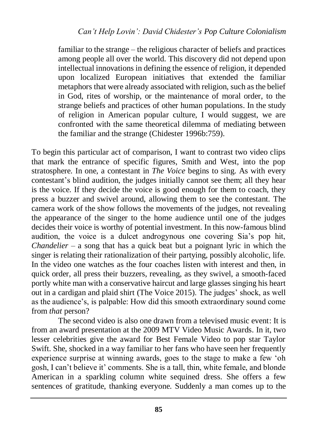familiar to the strange – the religious character of beliefs and practices among people all over the world. This discovery did not depend upon intellectual innovations in defining the essence of religion, it depended upon localized European initiatives that extended the familiar metaphors that were already associated with religion, such as the belief in God, rites of worship, or the maintenance of moral order, to the strange beliefs and practices of other human populations. In the study of religion in American popular culture, I would suggest, we are confronted with the same theoretical dilemma of mediating between the familiar and the strange (Chidester 1996b:759).

To begin this particular act of comparison, I want to contrast two video clips that mark the entrance of specific figures, Smith and West, into the pop stratosphere. In one, a contestant in *The Voice* begins to sing. As with every contestant's blind audition, the judges initially cannot see them; all they hear is the voice. If they decide the voice is good enough for them to coach, they press a buzzer and swivel around, allowing them to see the contestant. The camera work of the show follows the movements of the judges, not revealing the appearance of the singer to the home audience until one of the judges decides their voice is worthy of potential investment. In this now-famous blind audition, the voice is a dulcet androgynous one covering Sia's pop hit, *Chandelier* – a song that has a quick beat but a poignant lyric in which the singer is relating their rationalization of their partying, possibly alcoholic, life. In the video one watches as the four coaches listen with interest and then, in quick order, all press their buzzers, revealing, as they swivel, a smooth-faced portly white man with a conservative haircut and large glasses singing his heart out in a cardigan and plaid shirt (The Voice 2015). The judges' shock, as well as the audience's, is palpable: How did this smooth extraordinary sound come from *that* person?

The second video is also one drawn from a televised music event: It is from an award presentation at the 2009 MTV Video Music Awards. In it, two lesser celebrities give the award for Best Female Video to pop star Taylor Swift. She, shocked in a way familiar to her fans who have seen her frequently experience surprise at winning awards, goes to the stage to make a few 'oh gosh, I can't believe it' comments. She is a tall, thin, white female, and blonde American in a sparkling column white sequined dress. She offers a few sentences of gratitude, thanking everyone. Suddenly a man comes up to the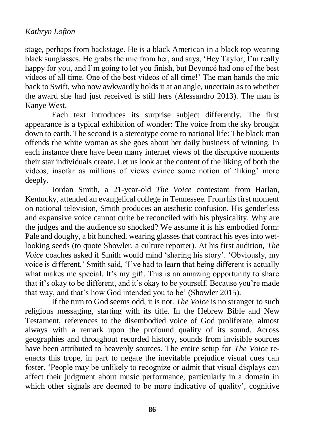stage, perhaps from backstage. He is a black American in a black top wearing black sunglasses. He grabs the mic from her, and says, 'Hey Taylor, I'm really happy for you, and I'm going to let you finish, but Beyoncé had one of the best videos of all time. One of the best videos of all time!' The man hands the mic back to Swift, who now awkwardly holds it at an angle, uncertain as to whether the award she had just received is still hers (Alessandro 2013). The man is Kanye West.

Each text introduces its surprise subject differently. The first appearance is a typical exhibition of wonder: The voice from the sky brought down to earth. The second is a stereotype come to national life: The black man offends the white woman as she goes about her daily business of winning. In each instance there have been many internet views of the disruptive moments their star individuals create. Let us look at the content of the liking of both the videos, insofar as millions of views evince some notion of 'liking' more deeply.

Jordan Smith, a 21-year-old *The Voice* contestant from Harlan, Kentucky, attended an evangelical college in Tennessee. From his first moment on national television, Smith produces an aesthetic confusion. His genderless and expansive voice cannot quite be reconciled with his physicality. Why are the judges and the audience so shocked? We assume it is his embodied form: Pale and doughy, a bit hunched, wearing glasses that contract his eyes into wetlooking seeds (to quote Showler, a culture reporter). At his first audition, *The Voice* coaches asked if Smith would mind 'sharing his story'. 'Obviously, my voice is different,' Smith said, 'I've had to learn that being different is actually what makes me special. It's my gift. This is an amazing opportunity to share that it's okay to be different, and it's okay to be yourself. Because you're made that way, and that's how God intended you to be' (Showler 2015).

If the turn to God seems odd, it is not. *The Voice* is no stranger to such religious messaging, starting with its title. In the Hebrew Bible and New Testament, references to the disembodied voice of God proliferate, almost always with a remark upon the profound quality of its sound. Across geographies and throughout recorded history, sounds from invisible sources have been attributed to heavenly sources. The entire setup for *The Voice* reenacts this trope, in part to negate the inevitable prejudice visual cues can foster. 'People may be unlikely to recognize or admit that visual displays can affect their judgment about music performance, particularly in a domain in which other signals are deemed to be more indicative of quality', cognitive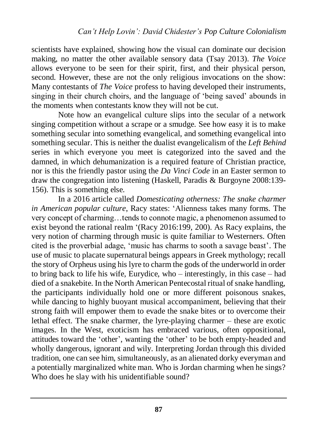scientists have explained, showing how the visual can dominate our decision making, no matter the other available sensory data (Tsay 2013). *The Voice* allows everyone to be seen for their spirit, first, and their physical person, second. However, these are not the only religious invocations on the show: Many contestants of *The Voice* profess to having developed their instruments, singing in their church choirs, and the language of 'being saved' abounds in the moments when contestants know they will not be cut.

Note how an evangelical culture slips into the secular of a network singing competition without a scrape or a smudge. See how easy it is to make something secular into something evangelical, and something evangelical into something secular. This is neither the dualist evangelicalism of the *Left Behind*  series in which everyone you meet is categorized into the saved and the damned, in which dehumanization is a required feature of Christian practice, nor is this the friendly pastor using the *Da Vinci Code* in an Easter sermon to draw the congregation into listening (Haskell, Paradis & Burgoyne 2008:139- 156). This is something else.

In a 2016 article called *Domesticating otherness: The snake charmer in American popular culture*, Racy states: 'Alienness takes many forms. The very concept of charming…tends to connote magic, a phenomenon assumed to exist beyond the rational realm '(Racy 2016:199, 200). As Racy explains, the very notion of charming through music is quite familiar to Westerners. Often cited is the proverbial adage, 'music has charms to sooth a savage beast'. The use of music to placate supernatural beings appears in Greek mythology; recall the story of Orpheus using his lyre to charm the gods of the underworld in order to bring back to life his wife, Eurydice, who – interestingly, in this case – had died of a snakebite. In the North American Pentecostal ritual of snake handling, the participants individually hold one or more different poisonous snakes, while dancing to highly buoyant musical accompaniment, believing that their strong faith will empower them to evade the snake bites or to overcome their lethal effect. The snake charmer, the lyre-playing charmer – these are exotic images. In the West, exoticism has embraced various, often oppositional, attitudes toward the 'other', wanting the 'other' to be both empty-headed and wholly dangerous, ignorant and wily. Interpreting Jordan through this divided tradition, one can see him, simultaneously, as an alienated dorky everyman and a potentially marginalized white man. Who is Jordan charming when he sings? Who does he slay with his unidentifiable sound?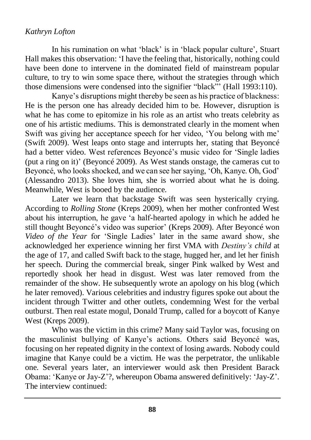In his rumination on what 'black' is in 'black popular culture', Stuart Hall makes this observation: 'I have the feeling that, historically, nothing could have been done to intervene in the dominated field of mainstream popular culture, to try to win some space there, without the strategies through which those dimensions were condensed into the signifier "black"' (Hall 1993:110).

Kanye's disruptions might thereby be seen as his practice of blackness: He is the person one has already decided him to be. However, disruption is what he has come to epitomize in his role as an artist who treats celebrity as one of his artistic mediums. This is demonstrated clearly in the moment when Swift was giving her acceptance speech for her video, 'You belong with me' (Swift 2009). West leaps onto stage and interrupts her, stating that Beyoncé had a better video. West references Beyoncé's music video for 'Single ladies (put a ring on it)' (Beyoncé 2009). As West stands onstage, the cameras cut to Beyoncé, who looks shocked, and we can see her saying, 'Oh, Kanye. Oh, God' (Alessandro 2013). She loves him, she is worried about what he is doing. Meanwhile, West is booed by the audience.

Later we learn that backstage Swift was seen hysterically crying. According to *Rolling Stone* (Kreps 2009), when her mother confronted West about his interruption, he gave 'a half-hearted apology in which he added he still thought Beyoncé's video was superior' (Kreps 2009). After Beyoncé won *Video of the Year* for 'Single Ladies' later in the same award show, she acknowledged her experience winning her first VMA with *Destiny's child* at the age of 17, and called Swift back to the stage, hugged her, and let her finish her speech. During the commercial break, singer Pink walked by West and reportedly shook her head in disgust. West was later removed from the remainder of the show. He subsequently wrote an apology on his blog (which he later removed). Various celebrities and industry figures spoke out about the incident through Twitter and other outlets, condemning West for the verbal outburst. Then real estate mogul, Donald Trump, called for a boycott of Kanye West (Kreps 2009).

Who was the victim in this crime? Many said Taylor was, focusing on the masculinist bullying of Kanye's actions. Others said Beyoncé was, focusing on her repeated dignity in the context of losing awards. Nobody could imagine that Kanye could be a victim. He was the perpetrator, the unlikable one. Several years later, an interviewer would ask then President Barack Obama: 'Kanye or Jay-Z'?, whereupon Obama answered definitively: 'Jay-Z'. The interview continued: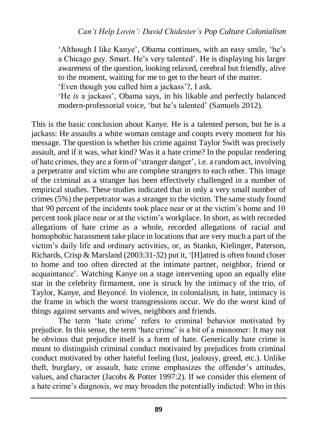'Although I like Kanye', Obama continues, with an easy smile, 'he's a Chicago guy. Smart. He's very talented'. He is displaying his larger awareness of the question, looking relaxed, cerebral but friendly, alive to the moment, waiting for me to get to the heart of the matter.

'Even though you called him a jackass'?, I ask.

'He *is* a jackass', Obama says, in his likable and perfectly balanced modern-professorial voice, 'but he's talented' (Samuels 2012).

This is the basic conclusion about Kanye. He is a talented person, but he is a jackass: He assaults a white woman onstage and coopts every moment for his message. The question is whether his crime against Taylor Swift was precisely assault, and if it was, what kind? Was it a hate crime? In the popular rendering of hate crimes, they are a form of 'stranger danger', i.e. a random act, involving a perpetrator and victim who are complete strangers to each other. This image of the criminal as a stranger has been effectively challenged in a number of empirical studies. These studies indicated that in only a very small number of crimes (5%) the perpetrator was a stranger to the victim. The same study found that 90 percent of the incidents took place near or at the victim's home and 10 percent took place near or at the victim's workplace. In short, as with recorded allegations of hate crime as a whole, recorded allegations of racial and homophobic harassment take place in locations that are very much a part of the victim's daily life and ordinary activities, or, as Stanko, Kielinger, Paterson, Richards, Crisp & Marsland (2003:31-32) put it, '[H]atred is often found closer to home and too often directed at the intimate partner, neighbor, friend or acquaintance'. Watching Kanye on a stage intervening upon an equally elite star in the celebrity firmament, one is struck by the intimacy of the trio, of Taylor, Kanye, and Beyoncé. In violence, in colonialism, in hate, intimacy is the frame in which the worst transgressions occur. We do the worst kind of things against servants and wives, neighbors and friends.

The term 'hate crime' refers to criminal behavior motivated by prejudice. In this sense, the term 'hate crime' is a bit of a misnomer: It may not be obvious that prejudice itself is a form of hate. Generically hate crime is meant to distinguish criminal conduct motivated by prejudices from criminal conduct motivated by other hateful feeling (lust, jealousy, greed, etc.). Unlike theft, burglary, or assault, hate crime emphasizes the offender's attitudes, values, and character (Jacobs & Potter 1997:2). If we consider this element of a hate crime's diagnosis, we may broaden the potentially indicted: Who in this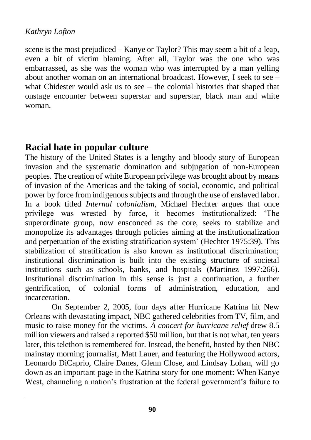scene is the most prejudiced – Kanye or Taylor? This may seem a bit of a leap, even a bit of victim blaming. After all, Taylor was the one who was embarrassed, as she was the woman who was interrupted by a man yelling about another woman on an international broadcast. However, I seek to see – what Chidester would ask us to see – the colonial histories that shaped that onstage encounter between superstar and superstar, black man and white woman.

# **Racial hate in popular culture**

The history of the United States is a lengthy and bloody story of European invasion and the systematic domination and subjugation of non-European peoples. The creation of white European privilege was brought about by means of invasion of the Americas and the taking of social, economic, and political power by force from indigenous subjects and through the use of enslaved labor. In a book titled *Internal colonialism*, Michael Hechter argues that once privilege was wrested by force, it becomes institutionalized: 'The superordinate group, now ensconced as the core, seeks to stabilize and monopolize its advantages through policies aiming at the institutionalization and perpetuation of the existing stratification system' (Hechter 1975:39). This stabilization of stratification is also known as institutional discrimination; institutional discrimination is built into the existing structure of societal institutions such as schools, banks, and hospitals (Martinez 1997:266). Institutional discrimination in this sense is just a continuation, a further gentrification, of colonial forms of administration, education, and incarceration.

On September 2, 2005, four days after Hurricane Katrina hit New Orleans with devastating impact, NBC gathered celebrities from TV, film, and music to raise money for the victims. *A concert for hurricane relief* drew 8.5 million viewers and raised a reported \$50 million, but that is not what, ten years later, this telethon is remembered for. Instead, the benefit, hosted by then NBC mainstay morning journalist, Matt Lauer, and featuring the Hollywood actors, Leonardo DiCaprio, Claire Danes, Glenn Close, and Lindsay Lohan, will go down as an important page in the Katrina story for one moment: When Kanye West, channeling a nation's frustration at the federal government's failure to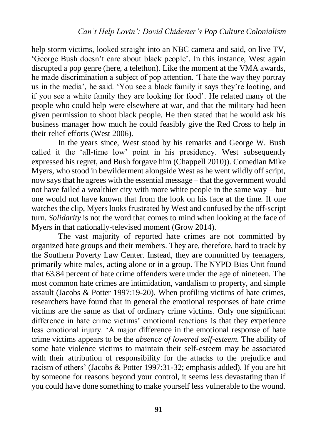help storm victims, looked straight into an NBC camera and said, on live TV, 'George Bush doesn't care about black people'. In this instance, West again disrupted a pop genre (here, a telethon). Like the moment at the VMA awards, he made discrimination a subject of pop attention. 'I hate the way they portray us in the media', he said. 'You see a black family it says they're looting, and if you see a white family they are looking for food'. He related many of the people who could help were elsewhere at war, and that the military had been given permission to shoot black people. He then stated that he would ask his business manager how much he could feasibly give the Red Cross to help in their relief efforts (West 2006).

In the years since, West stood by his remarks and George W. Bush called it the 'all-time low' point in his presidency. West subsequently expressed his regret, and Bush forgave him (Chappell 2010)). Comedian Mike Myers, who stood in bewilderment alongside West as he went wildly off script, now says that he agrees with the essential message – that the government would not have failed a wealthier city with more white people in the same way – but one would not have known that from the look on his face at the time. If one watches the clip, Myers looks frustrated by West and confused by the off-script turn. *Solidarity* is not the word that comes to mind when looking at the face of Myers in that nationally-televised moment (Grow 2014).

The vast majority of reported hate crimes are not committed by organized hate groups and their members. They are, therefore, hard to track by the Southern Poverty Law Center. Instead, they are committed by teenagers, primarily white males, acting alone or in a group. The NYPD Bias Unit found that 63.84 percent of hate crime offenders were under the age of nineteen. The most common hate crimes are intimidation, vandalism to property, and simple assault (Jacobs & Potter 1997:19-20). When profiling victims of hate crimes, researchers have found that in general the emotional responses of hate crime victims are the same as that of ordinary crime victims. Only one significant difference in hate crime victims' emotional reactions is that they experience less emotional injury. 'A major difference in the emotional response of hate crime victims appears to be the *absence of lowered self-esteem.* The ability of some hate violence victims to maintain their self-esteem may be associated with their attribution of responsibility for the attacks to the prejudice and racism of others' (Jacobs & Potter 1997:31-32; emphasis added). If you are hit by someone for reasons beyond your control, it seems less devastating than if you could have done something to make yourself less vulnerable to the wound.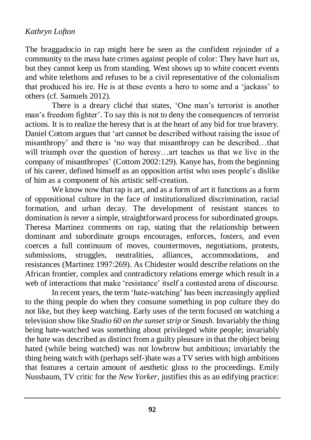The braggadocio in rap might here be seen as the confident rejoinder of a community to the mass hate crimes against people of color: They have hurt us, but they cannot keep us from standing. West shows up to white concert events and white telethons and refuses to be a civil representative of the colonialism that produced his ire. He is at these events a hero to some and a 'jackass' to others (cf. Samuels 2012).

There is a dreary cliché that states, 'One man's terrorist is another man's freedom fighter'. To say this is not to deny the consequences of terrorist actions. It is to realize the heresy that is at the heart of any bid for true bravery. Daniel Cottom argues that 'art cannot be described without raising the issue of misanthropy' and there is 'no way that misanthropy can be described…that will triumph over the question of heresy...art teaches us that we live in the company of misanthropes' (Cottom 2002:129). Kanye has, from the beginning of his career, defined himself as an opposition artist who uses people's dislike of him as a component of his artistic self-creation.

We know now that rap is art, and as a form of art it functions as a form of oppositional culture in the face of institutionalized discrimination, racial formation, and urban decay. The development of resistant stances to domination is never a simple, straightforward process for subordinated groups. Theresa Martinez comments on rap, stating that the relationship between dominant and subordinate groups encourages, enforces, fosters, and even coerces a full continuum of moves, countermoves, negotiations, protests, submissions, struggles, neutralities, alliances, accommodations, and resistances (Martinez 1997:269). As Chidester would describe relations on the African frontier, complex and contradictory relations emerge which result in a web of interactions that make 'resistance' itself a contested arena of discourse.

In recent years, the term 'hate-watching' has been increasingly applied to the thing people do when they consume something in pop culture they do not like, but they keep watching. Early uses of the term focused on watching a television show like *Studio 60 on the sunset strip* or *Smash*. Invariably the thing being hate-watched was something about privileged white people; invariably the hate was described as distinct from a guilty pleasure in that the object being hated (while being watched) was not lowbrow but ambitious; invariably the thing being watch with (perhaps self-)hate was a TV series with high ambitions that features a certain amount of aesthetic gloss to the proceedings. Emily Nussbaum, TV critic for the *New Yorker*, justifies this as an edifying practice: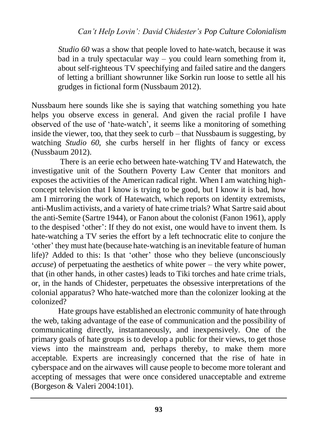*Studio 60* was a show that people loved to hate-watch, because it was bad in a truly spectacular way – you could learn something from it, about self-righteous TV speechifying and failed satire and the dangers of letting a brilliant showrunner like Sorkin run loose to settle all his grudges in fictional form (Nussbaum 2012).

Nussbaum here sounds like she is saying that watching something you hate helps you observe excess in general. And given the racial profile I have observed of the use of 'hate-watch', it seems like a monitoring of something inside the viewer, too, that they seek to curb – that Nussbaum is suggesting, by watching *Studio 60*, she curbs herself in her flights of fancy or excess (Nussbaum 2012).

There is an eerie echo between hate-watching TV and Hatewatch, the investigative unit of the Southern Poverty Law Center that monitors and exposes the activities of the American radical right. When I am watching highconcept television that I know is trying to be good, but I know it is bad, how am I mirroring the work of Hatewatch, which reports on identity extremists, anti-Muslim activists, and a variety of hate crime trials? What Sartre said about the anti-Semite (Sartre 1944), or Fanon about the colonist (Fanon 1961), apply to the despised 'other': If they do not exist, one would have to invent them. Is hate-watching a TV series the effort by a left technocratic elite to conjure the 'other' they must hate (because hate-watching is an inevitable feature of human life)? Added to this: Is that 'other' those who they believe (unconsciously *accuse*) of perpetuating the aesthetics of white power – the very white power, that (in other hands, in other castes) leads to Tiki torches and hate crime trials, or, in the hands of Chidester, perpetuates the obsessive interpretations of the colonial apparatus? Who hate-watched more than the colonizer looking at the colonized?

Hate groups have established an electronic community of hate through the web, taking advantage of the ease of communication and the possibility of communicating directly, instantaneously, and inexpensively. One of the primary goals of hate groups is to develop a public for their views, to get those views into the mainstream and, perhaps thereby, to make them more acceptable. Experts are increasingly concerned that the rise of hate in cyberspace and on the airwaves will cause people to become more tolerant and accepting of messages that were once considered unacceptable and extreme (Borgeson & Valeri 2004:101).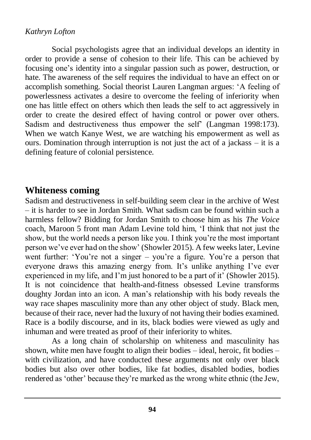Social psychologists agree that an individual develops an identity in order to provide a sense of cohesion to their life. This can be achieved by focusing one's identity into a singular passion such as power, destruction, or hate. The awareness of the self requires the individual to have an effect on or accomplish something. Social theorist Lauren Langman argues: 'A feeling of powerlessness activates a desire to overcome the feeling of inferiority when one has little effect on others which then leads the self to act aggressively in order to create the desired effect of having control or power over others. Sadism and destructiveness thus empower the self' (Langman 1998:173). When we watch Kanye West, we are watching his empowerment as well as ours. Domination through interruption is not just the act of a jackass – it is a defining feature of colonial persistence.

### **Whiteness coming**

Sadism and destructiveness in self-building seem clear in the archive of West – it is harder to see in Jordan Smith. What sadism can be found within such a harmless fellow? Bidding for Jordan Smith to choose him as his *The Voice*  coach, Maroon 5 front man Adam Levine told him, 'I think that not just the show, but the world needs a person like you. I think you're the most important person we've ever had on the show' (Showler 2015). A few weeks later, Levine went further: 'You're not a singer – you're a figure. You're a person that everyone draws this amazing energy from. It's unlike anything I've ever experienced in my life, and I'm just honored to be a part of it' (Showler 2015). It is not coincidence that health-and-fitness obsessed Levine transforms doughty Jordan into an icon. A man's relationship with his body reveals the way race shapes masculinity more than any other object of study. Black men, because of their race, never had the luxury of not having their bodies examined. Race is a bodily discourse, and in its, black bodies were viewed as ugly and inhuman and were treated as proof of their inferiority to whites.

As a long chain of scholarship on whiteness and masculinity has shown, white men have fought to align their bodies – ideal, heroic, fit bodies – with civilization, and have conducted these arguments not only over black bodies but also over other bodies, like fat bodies, disabled bodies, bodies rendered as 'other' because they're marked as the wrong white ethnic (the Jew,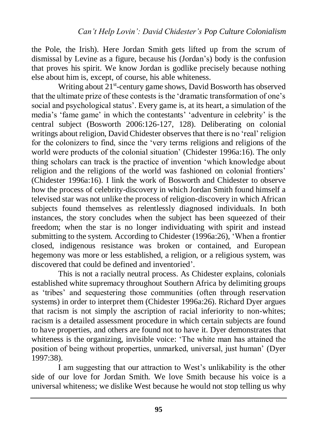the Pole, the Irish). Here Jordan Smith gets lifted up from the scrum of dismissal by Levine as a figure, because his (Jordan's) body is the confusion that proves his spirit. We know Jordan is godlike precisely because nothing else about him is, except, of course, his able whiteness.

Writing about 21<sup>st</sup>-century game shows, David Bosworth has observed that the ultimate prize of these contests is the 'dramatic transformation of one's social and psychological status'. Every game is, at its heart, a simulation of the media's 'fame game' in which the contestants' 'adventure in celebrity' is the central subject (Bosworth 2006:126-127, 128). Deliberating on colonial writings about religion, David Chidester observes that there is no 'real' religion for the colonizers to find, since the 'very terms religions and religions of the world were products of the colonial situation' (Chidester 1996a:16). The only thing scholars can track is the practice of invention 'which knowledge about religion and the religions of the world was fashioned on colonial frontiers' (Chidester 1996a:16). I link the work of Bosworth and Chidester to observe how the process of celebrity-discovery in which Jordan Smith found himself a televised star was not unlike the process of religion-discovery in which African subjects found themselves as relentlessly diagnosed individuals. In both instances, the story concludes when the subject has been squeezed of their freedom; when the star is no longer individuating with spirit and instead submitting to the system. According to Chidester (1996a:26), 'When a frontier closed, indigenous resistance was broken or contained, and European hegemony was more or less established, a religion, or a religious system, was discovered that could be defined and inventoried'.

This is not a racially neutral process. As Chidester explains, colonials established white supremacy throughout Southern Africa by delimiting groups as 'tribes' and sequestering those communities (often through reservation systems) in order to interpret them (Chidester 1996a:26). Richard Dyer argues that racism is not simply the ascription of racial inferiority to non-whites; racism is a detailed assessment procedure in which certain subjects are found to have properties, and others are found not to have it. Dyer demonstrates that whiteness is the organizing, invisible voice: 'The white man has attained the position of being without properties, unmarked, universal, just human' (Dyer 1997:38).

I am suggesting that our attraction to West's unlikability is the other side of our love for Jordan Smith. We love Smith because his voice is a universal whiteness; we dislike West because he would not stop telling us why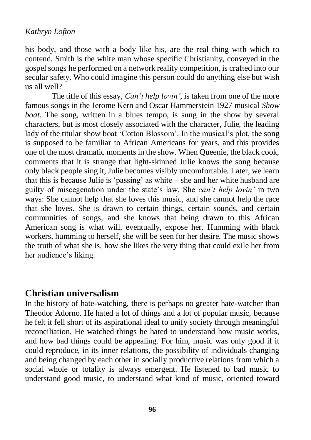his body, and those with a body like his, are the real thing with which to contend. Smith is the white man whose specific Christianity, conveyed in the gospel songs he performed on a network reality competition, is crafted into our secular safety. Who could imagine this person could do anything else but wish us all well?

The title of this essay, *Can't help lovin'*, is taken from one of the more famous songs in the Jerome Kern and Oscar Hammerstein 1927 musical *Show boat*. The song, written in a blues tempo, is sung in the show by several characters, but is most closely associated with the character, Julie, the leading lady of the titular show boat 'Cotton Blossom'. In the musical's plot, the song is supposed to be familiar to African Americans for years, and this provides one of the most dramatic moments in the show. When Queenie, the black cook, comments that it is strange that light-skinned Julie knows the song because only black people sing it, Julie becomes visibly uncomfortable. Later, we learn that this is because Julie is 'passing' as white – she and her white husband are guilty of miscegenation under the state's law. She *can't help lovin'* in two ways: She cannot help that she loves this music, and she cannot help the race that she loves. She is drawn to certain things, certain sounds, and certain communities of songs, and she knows that being drawn to this African American song is what will, eventually, expose her. Humming with black workers, humming to herself, she will be seen for her desire. The music shows the truth of what she is, how she likes the very thing that could exile her from her audience's liking.

## **Christian universalism**

In the history of hate-watching, there is perhaps no greater hate-watcher than Theodor Adorno. He hated a lot of things and a lot of popular music, because he felt it fell short of its aspirational ideal to unify society through meaningful reconciliation. He watched things he hated to understand how music works, and how bad things could be appealing. For him, music was only good if it could reproduce, in its inner relations, the possibility of individuals changing and being changed by each other in socially productive relations from which a social whole or totality is always emergent. He listened to bad music to understand good music, to understand what kind of music, oriented toward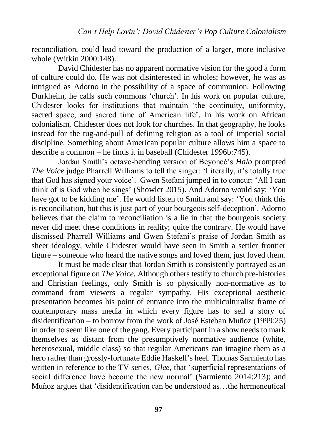reconciliation, could lead toward the production of a larger, more inclusive whole (Witkin 2000:148).

David Chidester has no apparent normative vision for the good a form of culture could do. He was not disinterested in wholes; however, he was as intrigued as Adorno in the possibility of a space of communion. Following Durkheim, he calls such commons 'church'. In his work on popular culture, Chidester looks for institutions that maintain 'the continuity, uniformity, sacred space, and sacred time of American life'. In his work on African colonialism, Chidester does not look for churches. In that geography, he looks instead for the tug-and-pull of defining religion as a tool of imperial social discipline. Something about American popular culture allows him a space to describe a common – he finds it in baseball (Chidester 1996b:745).

Jordan Smith's octave-bending version of Beyoncé's *Halo* prompted *The Voice* judge Pharrell Williams to tell the singer: 'Literally, it's totally true that God has signed your voice'. Gwen Stefani jumped in to concur: 'All I can think of is God when he sings' (Showler 2015). And Adorno would say: 'You have got to be kidding me'. He would listen to Smith and say: 'You think this is reconciliation, but this is just part of your bourgeois self-deception'. Adorno believes that the claim to reconciliation is a lie in that the bourgeois society never did meet these conditions in reality; quite the contrary. He would have dismissed Pharrell Williams and Gwen Stefani's praise of Jordan Smith as sheer ideology, while Chidester would have seen in Smith a settler frontier figure – someone who heard the native songs and loved them, just loved them.

It must be made clear that Jordan Smith is consistently portrayed as an exceptional figure on *The Voice.* Although others testify to church pre-histories and Christian feelings, only Smith is so physically non-normative as to command from viewers a regular sympathy. His exceptional aesthetic presentation becomes his point of entrance into the multiculturalist frame of contemporary mass media in which every figure has to sell a story of disidentification – to borrow from the work of José Esteban Muñoz (1999:25) in order to seem like one of the gang. Every participant in a show needs to mark themselves as distant from the presumptively normative audience (white, heterosexual, middle class) so that regular Americans can imagine them as a hero rather than grossly-fortunate Eddie Haskell's heel. Thomas Sarmiento has written in reference to the TV series, *Glee*, that 'superficial representations of social difference have become the new normal' (Sarmiento 2014:213); and Muñoz argues that 'disidentification can be understood as…the hermeneutical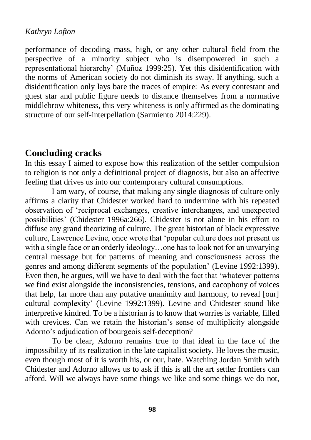performance of decoding mass, high, or any other cultural field from the perspective of a minority subject who is disempowered in such a representational hierarchy' (Muñoz 1999:25). Yet this disidentification with the norms of American society do not diminish its sway. If anything, such a disidentification only lays bare the traces of empire: As every contestant and guest star and public figure needs to distance themselves from a normative middlebrow whiteness, this very whiteness is only affirmed as the dominating structure of our self-interpellation (Sarmiento 2014:229).

# **Concluding cracks**

In this essay I aimed to expose how this realization of the settler compulsion to religion is not only a definitional project of diagnosis, but also an affective feeling that drives us into our contemporary cultural consumptions.

I am wary, of course, that making any single diagnosis of culture only affirms a clarity that Chidester worked hard to undermine with his repeated observation of 'reciprocal exchanges, creative interchanges, and unexpected possibilities' (Chidester 1996a:266). Chidester is not alone in his effort to diffuse any grand theorizing of culture. The great historian of black expressive culture, Lawrence Levine, once wrote that 'popular culture does not present us with a single face or an orderly ideology...one has to look not for an unvarying central message but for patterns of meaning and consciousness across the genres and among different segments of the population' (Levine 1992:1399). Even then, he argues, will we have to deal with the fact that 'whatever patterns we find exist alongside the inconsistencies, tensions, and cacophony of voices that help, far more than any putative unanimity and harmony, to reveal [our] cultural complexity' (Levine 1992:1399). Levine and Chidester sound like interpretive kindred. To be a historian is to know that worries is variable, filled with crevices. Can we retain the historian's sense of multiplicity alongside Adorno's adjudication of bourgeois self-deception?

To be clear, Adorno remains true to that ideal in the face of the impossibility of its realization in the late capitalist society. He loves the music, even though most of it is worth his, or our, hate. Watching Jordan Smith with Chidester and Adorno allows us to ask if this is all the art settler frontiers can afford. Will we always have some things we like and some things we do not,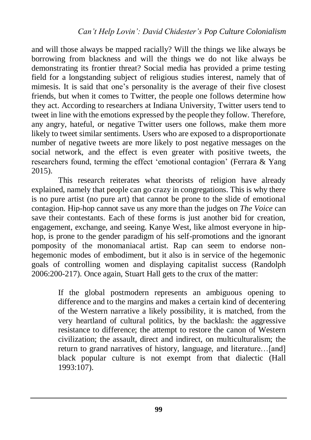and will those always be mapped racially? Will the things we like always be borrowing from blackness and will the things we do not like always be demonstrating its frontier threat? Social media has provided a prime testing field for a longstanding subject of religious studies interest, namely that of mimesis. It is said that one's personality is the average of their five closest friends, but when it comes to Twitter, the people one follows determine how they act. According to researchers at Indiana University, Twitter users tend to tweet in line with the emotions expressed by the people they follow. Therefore, any angry, hateful, or negative Twitter users one follows, make them more likely to tweet similar sentiments. Users who are exposed to a disproportionate number of negative tweets are more likely to post negative messages on the social network, and the effect is even greater with positive tweets, the researchers found, terming the effect 'emotional contagion' (Ferrara & Yang 2015).

This research reiterates what theorists of religion have already explained, namely that people can go crazy in congregations. This is why there is no pure artist (no pure art) that cannot be prone to the slide of emotional contagion. Hip-hop cannot save us any more than the judges on *The Voice* can save their contestants. Each of these forms is just another bid for creation, engagement, exchange, and seeing. Kanye West, like almost everyone in hiphop, is prone to the gender paradigm of his self-promotions and the ignorant pomposity of the monomaniacal artist. Rap can seem to endorse nonhegemonic modes of embodiment, but it also is in service of the hegemonic goals of controlling women and displaying capitalist success (Randolph 2006:200-217). Once again, Stuart Hall gets to the crux of the matter:

> If the global postmodern represents an ambiguous opening to difference and to the margins and makes a certain kind of decentering of the Western narrative a likely possibility, it is matched, from the very heartland of cultural politics, by the backlash: the aggressive resistance to difference; the attempt to restore the canon of Western civilization; the assault, direct and indirect, on multiculturalism; the return to grand narratives of history, language, and literature…[and] black popular culture is not exempt from that dialectic (Hall 1993:107).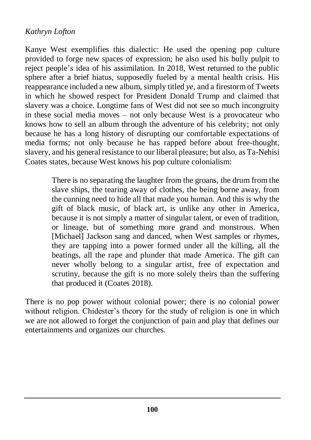Kanye West exemplifies this dialectic: He used the opening pop culture provided to forge new spaces of expression; he also used his bully pulpit to reject people's idea of his assimilation. In 2018, West returned to the public sphere after a brief hiatus, supposedly fueled by a mental health crisis. His reappearance included a new album, simply titled *ye*, and a firestorm of Tweets in which he showed respect for President Donald Trump and claimed that slavery was a choice. Longtime fans of West did not see so much incongruity in these social media moves – not only because West is a provocateur who knows how to sell an album through the adventure of his celebrity; not only because he has a long history of disrupting our comfortable expectations of media forms; not only because he has rapped before about free-thought, slavery, and his general resistance to our liberal pleasure; but also, as Ta-Nehisi Coates states, because West knows his pop culture colonialism:

> There is no separating the laughter from the groans, the drum from the slave ships, the tearing away of clothes, the being borne away, from the cunning need to hide all that made you human. And this is why the gift of black music, of black art, is unlike any other in America, because it is not simply a matter of singular talent, or even of tradition, or lineage, but of something more grand and monstrous. When [Michael] Jackson sang and danced, when West samples or rhymes, they are tapping into a power formed under all the killing, all the beatings, all the rape and plunder that made America. The gift can never wholly belong to a singular artist, free of expectation and scrutiny, because the gift is no more solely theirs than the suffering that produced it (Coates 2018).

There is no pop power without colonial power; there is no colonial power without religion. Chidester's theory for the study of religion is one in which we are not allowed to forget the conjunction of pain and play that defines our entertainments and organizes our churches.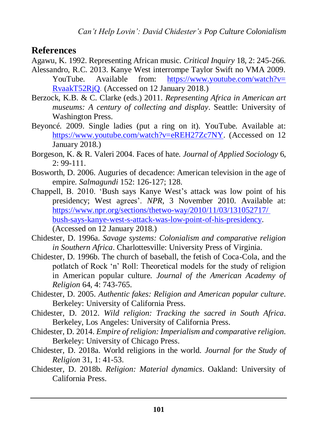### **References**

Agawu, K. 1992. Representing African music. *Critical Inquiry* 18, 2: 245-266.

- Alessandro, R.C. 2013. Kanye West interrompe Taylor Swift no VMA 2009. YouTube. Available from: https://www.youtube.com/watch?v= [RvaakT52RjQ.](https://www.youtube.com/watch?v=%20RvaakT52RjQ) (Accessed on 12 January 2018.)
- Berzock, K.B. & C. Clarke (eds.) 2011. *Representing Africa in American art museums: A century of collecting and display*. Seattle: University of Washington Press.
- Beyoncé. 2009. Single ladies (put a ring on it). YouTube. Available at: [https://www.youtube.com/watch?v=eREH27Zc7NY.](https://www.youtube.com/watch?v=eREH27Zc7NY) (Accessed on 12 January 2018.)
- Borgeson, K. & R. Valeri 2004. Faces of hate. *Journal of Applied Sociology* 6,  $2: 99-111$ .
- Bosworth, D. 2006. Auguries of decadence: American television in the age of empire. *Salmagundi* 152: 126-127; 128.
- Chappell, B. 2010. 'Bush says Kanye West's attack was low point of his presidency; West agrees'. *NPR*, 3 November 2010. Available at: [https://www.npr.org/sections/thetwo-way/2010/11/03/131052717/](https://www.npr.org/sections/thetwo-way/2010/11/03/131052717/%20bush-says-kanye-west-s-attack-was-low-point-of-his-presidency)  [bush-says-kanye-west-s-attack-was-low-point-of-his-presidency.](https://www.npr.org/sections/thetwo-way/2010/11/03/131052717/%20bush-says-kanye-west-s-attack-was-low-point-of-his-presidency) (Accessed on 12 January 2018.)
- Chidester, D. 1996a. *Savage systems: Colonialism and comparative religion in Southern Africa*. Charlottesville: University Press of Virginia.
- Chidester, D. 1996b. The church of baseball, the fetish of Coca-Cola, and the potlatch of Rock 'n' Roll: Theoretical models for the study of religion in American popular culture. *Journal of the American Academy of Religion* 64, 4: 743-765.
- Chidester, D. 2005. *Authentic fakes: Religion and American popular culture*. Berkeley: University of California Press.
- Chidester, D. 2012. *Wild religion: Tracking the sacred in South Africa*. Berkeley, Los Angeles: University of California Press.
- Chidester, D. 2014. *Empire of religion: Imperialism and comparative religion*. Berkeley: University of Chicago Press.
- Chidester, D. 2018a. World religions in the world. *Journal for the Study of Religion* 31, 1: 41-53.
- Chidester, D. 2018b. *Religion: Material dynamics*. Oakland: University of California Press.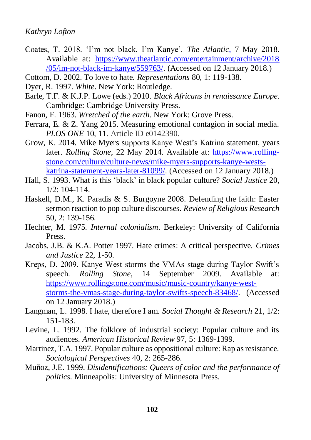Coates, T. 2018. 'I'm not black, I'm Kanye'. *[The Atlantic](https://www.theatlantic.com/entertainment/archive/2018/05/im-not-black-im-kanye/559763/?utm_source=atltw)*, 7 May 2018. Available at: [https://www.theatlantic.com/entertainment/archive/2018](https://www.theatlantic.com/entertainment/archive/2018%20/05/im-not-black-im-kanye/559763/)  [/05/im-not-black-im-kanye/559763/.](https://www.theatlantic.com/entertainment/archive/2018%20/05/im-not-black-im-kanye/559763/) (Accessed on 12 January 2018.)

Cottom, D. 2002. To love to hate. *Representations* 80, 1: 119-138.

- Dyer, R. 1997. *White*. New York: Routledge.
- Earle, T.F. & K.J.P. Lowe (eds.) 2010. *Black Africans in renaissance Europe*. Cambridge: Cambridge University Press.
- Fanon, F. 1963. *Wretched of the earth*. New York: Grove Press.
- Ferrara, E. & Z. Yang 2015. Measuring emotional contagion in social media. *PLOS ONE* 10, 11. Article ID e0142390.
- Grow, K. 2014. Mike Myers supports Kanye West's Katrina statement, years later. *Rolling Stone*, 22 May 2014. Available at: [https://www.rolling](https://www.rolling-stone.com/culture/culture-news/mike-myers-supports-kanye-wests-katrina-statement-years-later-81099/)[stone.com/culture/culture-news/mike-myers-supports-kanye-wests](https://www.rolling-stone.com/culture/culture-news/mike-myers-supports-kanye-wests-katrina-statement-years-later-81099/)[katrina-statement-years-later-81099/.](https://www.rolling-stone.com/culture/culture-news/mike-myers-supports-kanye-wests-katrina-statement-years-later-81099/) (Accessed on 12 January 2018.)
- Hall, S. 1993. What is this 'black' in black popular culture? *Social Justice* 20, 1/2: 104-114.
- Haskell, D.M., K. Paradis & S. Burgoyne 2008. Defending the faith: Easter sermon reaction to pop culture discourses. *Review of Religious Research* 50, 2: 139-156.
- Hechter, M. 1975. *Internal colonialism*. Berkeley: University of California Press.
- Jacobs, J.B. & K.A. Potter 1997. Hate crimes: A critical perspective. *Crimes and Justice* 22, 1-50.
- Kreps, D. 2009. Kanye West storms the VMAs stage during Taylor Swift's speech. *[Rolling Stone](https://www.rollingstone.com/music/music-country/kanye-west-storms-the-vmas-stage-during-taylor-swifts-speech-83468/)*, 14 September 2009. Available at: [https://www.rollingstone.com/music/music-country/kanye-west](https://www.rollingstone.com/music/music-country/kanye-west-storms-the-vmas-stage-during-taylor-swifts-speech-83468/)[storms-the-vmas-stage-during-taylor-swifts-speech-83468/.](https://www.rollingstone.com/music/music-country/kanye-west-storms-the-vmas-stage-during-taylor-swifts-speech-83468/) (Accessed on 12 January 2018.)
- Langman, L. 1998. I hate, therefore I am. *Social Thought & Research* 21, 1/2: 151-183.
- Levine, L. 1992. The folklore of industrial society: Popular culture and its audiences. *American Historical Review* 97, 5: 1369-1399.
- Martinez, T.A. 1997. Popular culture as oppositional culture: Rap as resistance. *Sociological Perspectives* 40, 2: 265-286.
- Muñoz, J.E. 1999. *Disidentifications: Queers of color and the performance of politics*. Minneapolis: University of Minnesota Press.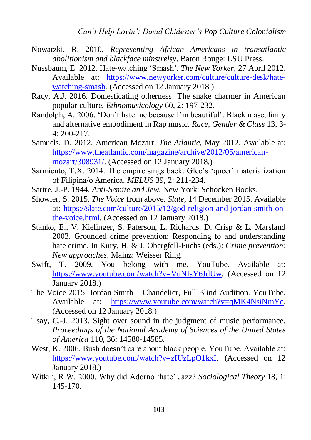- Nowatzki. R. 2010. *Representing African Americans in transatlantic abolitionism and blackface minstrelsy*. Baton Rouge: LSU Press.
- Nussbaum, E. 2012. Hate-watching 'Smash'. *The New Yorker*, 27 April 2012. Available at: [https://www.newyorker.com/culture/culture-desk/hate](https://www.newyorker.com/culture/culture-desk/hate-watching-smash)[watching-smash.](https://www.newyorker.com/culture/culture-desk/hate-watching-smash) (Accessed on 12 January 2018.)
- Racy, A.J. 2016. Domesticating otherness: The snake charmer in American popular culture. *Ethnomusicology* 60, 2: 197-232.
- Randolph, A. 2006. 'Don't hate me because I'm beautiful': Black masculinity and alternative embodiment in Rap music. *Race, Gender & Class* 13, 3- 4: 200-217.
- Samuels, D. 2012. American Mozart. *[The Atlantic](https://www.theatlantic.com/magazine/archive/2012/05/american-mozart/308931/)*, May 2012. Available at: [https://www.theatlantic.com/magazine/archive/2012/05/american](https://www.theatlantic.com/magazine/archive/2012/05/american-mozart/308931/)[mozart/308931/.](https://www.theatlantic.com/magazine/archive/2012/05/american-mozart/308931/) (Accessed on 12 January 2018.)
- Sarmiento, T.X. 2014. The empire sings back: Glee's 'queer' materialization of Filipina/o America. *MELUS* 39, 2: 211-234.
- Sartre, J.-P. 1944. *Anti-Semite and Jew*. New York: Schocken Books.
- Showler, S. 2015. *The Voice* from above. *Slate*, 14 December 2015. Available at: [https://slate.com/culture/2015/12/god-religion-and-jordan-smith-on](https://slate.com/culture/2015/12/god-religion-and-jordan-smith-on-the-voice.html)[the-voice.html.](https://slate.com/culture/2015/12/god-religion-and-jordan-smith-on-the-voice.html) (Accessed on 12 January 2018.)
- Stanko, E., V. Kielinger, S. Paterson, L. Richards, D. Crisp & L. Marsland 2003. Grounded crime prevention: Responding to and understanding hate crime. In Kury, H. & J. Obergfell-Fuchs (eds.): *Crime prevention: New approaches*. Mainz: Weisser Ring.
- Swift, T. 2009. You belong with me. YouTube. Available at: [https://www.youtube.com/watch?v=VuNIsY6JdUw.](https://www.youtube.com/watch?v=VuNIsY6JdUw) (Accessed on 12 January 2018.)
- The Voice 2015. Jordan Smith Chandelier, Full Blind Audition. YouTube. Available at: [https://www.youtube.com/watch?v=qMK4NsiNmYc.](https://www.youtube.com/watch?v=qMK4NsiNmYc) (Accessed on 12 January 2018.)
- Tsay, C.-J. 2013. Sight over sound in the judgment of music performance. *Proceedings of the National Academy of Sciences of the United States of America* 110, 36: 14580-14585.
- West, K. 2006. Bush doesn't care about black people. YouTube. Available at: [https://www.youtube.com/watch?v=zIUzLpO1kxI.](https://www.youtube.com/watch?v=zIUzLpO1kxI) (Accessed on 12 January 2018.)
- Witkin, R.W. 2000. Why did Adorno 'hate' Jazz? *Sociological Theory* 18, 1: 145-170.